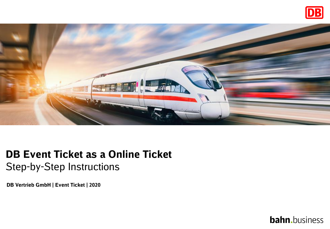



## **DB Event Ticket as a Online Ticket** Step-by-Step Instructions

**DB Vertrieb GmbH | Event Ticket | 2020**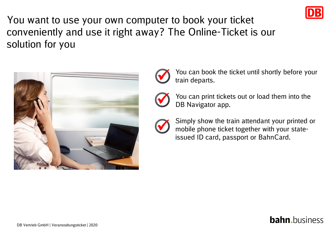

You want to use your own computer to book your ticket conveniently and use it right away? The Online-Ticket is our solution for you





You can book the ticket until shortly before your train departs.



You can print tickets out or load them into the DB Navigator app.



Simply show the train attendant your printed or mobile phone ticket together with your stateissued ID card, passport or BahnCard.

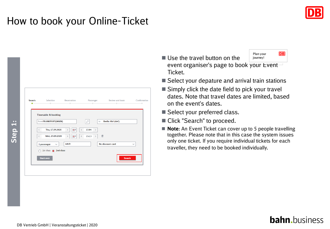

| Search | Selection Reservation<br>--    | -            |                         | Passenger Review and book<br>-- | Confirmation<br>- 0 |
|--------|--------------------------------|--------------|-------------------------|---------------------------------|---------------------|
|        | <b>Timetable &amp; booking</b> |              |                         |                                 |                     |
|        | from FRANKFURT(MAIN)           |              | è                       | Berlin Hbf (tief)<br>to         |                     |
|        | Thu, 17.09.2020<br>$\langle$   | m<br>$\,>$   | $15:04$ ><br>$\epsilon$ |                                 |                     |
|        | Wed, 23.09.2020<br>$\langle$   | œ<br>$\,>$   | 15:13<br>$\langle$      | 亩                               |                     |
|        | 1 passenger<br>$\checkmark$    | <b>Adult</b> |                         | No discount card                | $\checkmark$        |
|        | 1st class @ 2nd class          |              |                         |                                 |                     |
|        | <b>Start over</b>              |              |                         | <b>Search</b>                   |                     |
|        |                                |              |                         |                                 |                     |

- **DB** Plan your ■ Use the travel button on the journey! event organiser's page to book your Event Ticket.
- $\blacksquare$  Select your depature and arrival train stations
- $\blacksquare$  Simply click the date field to pick your travel dates. Note that travel dates are limited, based on the event's dates.
- Select your preferred class.
- Click "Search" to proceed.
- **Note**: An Event Ticket can cover up to 5 people travelling together. Please note that in this case the system issues only one ticket. If you require individual tickets for each traveller, they need to be booked individually.

#### **bahn.**business

**Step 1:**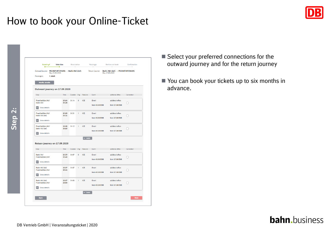

- Select your preferred connections for the outward journey and for the return journey
- You can book your tickets up to six months in advance.



DB Vertrieb GmbH | Veranstaltungsticket | 2020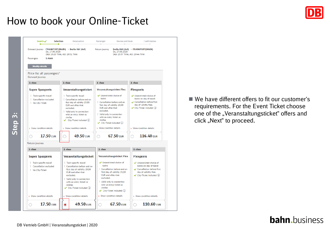

■ We have different offers to fit our customer's requirements. For the Event Ticket choose one of the "Veranstaltungsticket" offers and click "Next" to proceed.

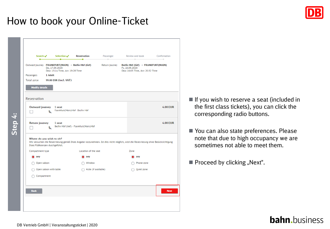|                           | Search $\checkmark$ Selection $\checkmark$                                                                                          | Reservation                            | Passenger            | and a                                                                                                 | Review and book Confirmation<br>- |
|---------------------------|-------------------------------------------------------------------------------------------------------------------------------------|----------------------------------------|----------------------|-------------------------------------------------------------------------------------------------------|-----------------------------------|
|                           | Outward journey <b>FRANKFURT(MAIN)</b> $\rightarrow$ <b>Berlin Hbf (tief)</b><br>Do, 17.09.2020<br>Dep: 15:14 Time, Arr: 19:28 Time |                                        | Return journey       | Berlin Hbf (tief) $\rightarrow$ FRANKFURT(MAIN)<br>Fr, 18.09.2020<br>Dep: 16:05 Time, Arr: 20:32 Time |                                   |
| Passengers                | 1 Adult                                                                                                                             |                                        |                      |                                                                                                       |                                   |
| Total price               | 99.00 EUR (incl. VAT)                                                                                                               |                                        |                      |                                                                                                       |                                   |
| <b>Modify details</b>     |                                                                                                                                     |                                        |                      |                                                                                                       |                                   |
|                           |                                                                                                                                     |                                        |                      |                                                                                                       |                                   |
| Reservation               |                                                                                                                                     |                                        |                      |                                                                                                       |                                   |
|                           |                                                                                                                                     |                                        |                      |                                                                                                       |                                   |
| <b>Outward journey</b>    | 1 seat<br>انی                                                                                                                       | Frankfurt(Main)Hbf - Berlin Hbf        |                      |                                                                                                       | <b>4.00 EUR</b>                   |
|                           |                                                                                                                                     |                                        |                      |                                                                                                       |                                   |
|                           |                                                                                                                                     |                                        |                      |                                                                                                       | <b>4.00 EUR</b>                   |
| Return journey            | 1 seat<br>انی                                                                                                                       | Berlin Hbf (tief) - Frankfurt(Main)Hbf |                      |                                                                                                       |                                   |
|                           |                                                                                                                                     |                                        |                      |                                                                                                       |                                   |
|                           |                                                                                                                                     |                                        |                      |                                                                                                       |                                   |
|                           |                                                                                                                                     |                                        |                      |                                                                                                       |                                   |
| Where do you wish to sit? | Wir versuchen die Reservierung gemäß Ihrer Angabe vorzunehmen. Ist dies nicht möglich, wird die Reservierung ohne Berücksichtigung  |                                        |                      |                                                                                                       |                                   |
|                           | Ihrer Präferenzen durchgeführt.                                                                                                     |                                        |                      |                                                                                                       |                                   |
| Compartment type          |                                                                                                                                     | Location of the seat                   |                      | Zone                                                                                                  |                                   |
| any                       |                                                                                                                                     | $\bullet$ any                          |                      | any                                                                                                   |                                   |
| Open saloon               |                                                                                                                                     | Window                                 |                      | Phone zone                                                                                            |                                   |
|                           | Open saloon with table                                                                                                              |                                        | Aisle (if available) | Quiet zone                                                                                            |                                   |
| Compartment               |                                                                                                                                     |                                        |                      |                                                                                                       |                                   |
|                           |                                                                                                                                     |                                        |                      |                                                                                                       |                                   |
|                           |                                                                                                                                     |                                        |                      |                                                                                                       |                                   |

- If you wish to reserve a seat (included in the first class tickets), you can click the corresponding radio buttons.
- You can also state preferences. Please note that due to high occupancy we are sometimes not able to meet them.
- $\blacksquare$  Proceed by clicking "Next".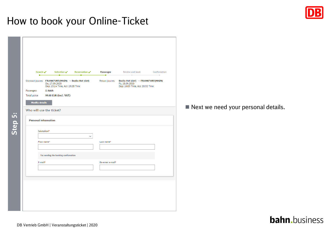|                       |                                                                                                           | Selection $\sqrt{}$ Reservation $\sqrt{}$ | Passenger<br>۰   | Review and book<br>-                                                                                  | Confirmation<br>÷. |
|-----------------------|-----------------------------------------------------------------------------------------------------------|-------------------------------------------|------------------|-------------------------------------------------------------------------------------------------------|--------------------|
|                       | Outward journey FRANKFURT(MAIN) → Berlin Hbf (tief)<br>Do, 17.09.2020<br>Dep: 15:14 Time, Arr: 19:28 Time |                                           | Return journey   | Berlin Hbf (tief) $\rightarrow$ FRANKFURT(MAIN)<br>Fr, 18.09.2020<br>Dep: 16:05 Time, Arr: 20:32 Time |                    |
| Passengers            | 1 Adult                                                                                                   |                                           |                  |                                                                                                       |                    |
| Total price           | 99.00 EUR (incl. VAT)                                                                                     |                                           |                  |                                                                                                       |                    |
| <b>Modify details</b> |                                                                                                           |                                           |                  |                                                                                                       |                    |
| Salutation*           | First name*                                                                                               | v                                         | Last name*       |                                                                                                       |                    |
|                       |                                                                                                           |                                           |                  |                                                                                                       |                    |
|                       |                                                                                                           |                                           |                  |                                                                                                       |                    |
|                       | For sending the booking confirmation                                                                      |                                           |                  |                                                                                                       |                    |
| E-mail*               |                                                                                                           |                                           | Re-enter e-mail* |                                                                                                       |                    |
|                       |                                                                                                           |                                           |                  |                                                                                                       |                    |

■ Next we need your personal details.

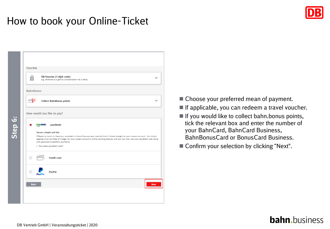

- Choose your preferred mean of payment.
- $\blacksquare$  If applicable, you can redeem a travel voucher.
- $\blacksquare$  If you would like to collect bahn.bonus points, tick the relevant box and enter the number of your BahnCard, BahnCard Business, BahnBonusCard or BonusCard Business.
- Confirm your selection by clicking "Next".

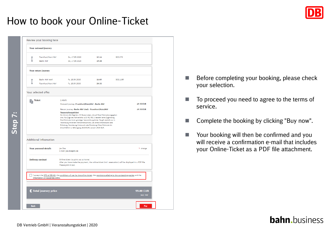|                             | Your outward journey                    |                                                                                                                                                                                                                                                                                                                                                                                                                                                                                                                                                |                |                 |                               |
|-----------------------------|-----------------------------------------|------------------------------------------------------------------------------------------------------------------------------------------------------------------------------------------------------------------------------------------------------------------------------------------------------------------------------------------------------------------------------------------------------------------------------------------------------------------------------------------------------------------------------------------------|----------------|-----------------|-------------------------------|
|                             | Frankfurt(Main)Hbf<br><b>Berlin Hbf</b> | Do, 17.09.2020<br>Do, 17.09.2020                                                                                                                                                                                                                                                                                                                                                                                                                                                                                                               | 15:14<br>19:28 | <b>ICE 278</b>  |                               |
|                             | Your return journey                     |                                                                                                                                                                                                                                                                                                                                                                                                                                                                                                                                                |                |                 |                               |
| ۰                           | Berlin Hbf (tief)<br>Frankfurt(Main)Hbf | Fr. 18.09.2020<br>Fr. 18.09.2020                                                                                                                                                                                                                                                                                                                                                                                                                                                                                                               | 16:05<br>20:32 | <b>ICE 1195</b> |                               |
|                             | Your selected offer                     |                                                                                                                                                                                                                                                                                                                                                                                                                                                                                                                                                |                |                 |                               |
| $\frac{1}{\sqrt{2}}$ Ticket |                                         | 1 Adult<br>Outward journey: Frankfurt(Main)Hbf - Berlin Hbf                                                                                                                                                                                                                                                                                                                                                                                                                                                                                    |                |                 | <b>49.50 EUR</b>              |
|                             |                                         | Return journey: Berlin Hbf (tief) - Frankfurt(Main)Hbf<br>Veranstaltungsticket<br>Sie können alle Züge bzw. IC Busse nutzen, die auf Ihrer Fahrkarte angegeben<br>sind. Für Züge des Nahverkehrs (z.B. RE, RB, S) besteht keine Zugbindung.<br>Ihre Fahrkarte ist ein günstiges Veranstaltungsticket. Sie gilt deshalb nur in<br>Verbindung mit einem Teilnahmenachweis, z.B. einer Eintrittskarte oder<br>Einladung, Stornierung (Umtausch oder Erstattung) Ihrer Fahrkarte bis<br>einschließlich 1. Geltungstag 19,00 EUR, danach 19,00 EUR. |                |                 | <b>49.50 EUR</b>              |
|                             | <b>Additional information</b>           |                                                                                                                                                                                                                                                                                                                                                                                                                                                                                                                                                |                |                 |                               |
|                             | <b>Your personal details</b>            | loe Doe<br>E-mail: joe.doe@db.de                                                                                                                                                                                                                                                                                                                                                                                                                                                                                                               |                |                 | > change                      |
|                             | <b>Delivery method</b>                  | Online ticket (to print out at home)<br>After you have made the payment, the online ticket (incl. reservation) will be displayed in a PDF file.<br>Please print it out.                                                                                                                                                                                                                                                                                                                                                                        |                |                 |                               |
|                             | information on passenger rights.        | I accept the GTC of DB AG, the conditions of use for the online ticket, the provisions relating to the contracting parties and the                                                                                                                                                                                                                                                                                                                                                                                                             |                |                 |                               |
|                             | € Total journey price                   |                                                                                                                                                                                                                                                                                                                                                                                                                                                                                                                                                |                |                 | <b>99.00 EUR</b><br>incl. VAT |

- Before completing your booking, please check your selection.
- To proceed you need to agree to the terms of service.
- Complete the booking by clicking "Buy now".
- Your booking will then be confirmed and you will receive a confirmation e-mail that includes your Online-Ticket as a PDF file attachment.

#### **bahn.**business

**Step 7:**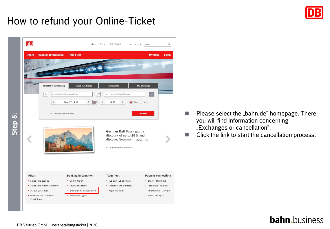

## How to refund your Online-Ticket

| $\overline{DB}$                                                                                                                 |                                                                                                                        | Home   Contact   文件 English                                                                                                                                                                                                        | $\hbox{\tt Q}$<br>Search<br>A A A                                                                                 |
|---------------------------------------------------------------------------------------------------------------------------------|------------------------------------------------------------------------------------------------------------------------|------------------------------------------------------------------------------------------------------------------------------------------------------------------------------------------------------------------------------------|-------------------------------------------------------------------------------------------------------------------|
| <b>Booking Information</b><br><b>Offers</b><br><b>Timetable &amp; booking</b>                                                   | <b>Train Fleet</b><br>Saver fare finder                                                                                | <b>Punctuality</b>                                                                                                                                                                                                                 | <b>My Bahn</b><br><b>Login</b><br>My bookings                                                                     |
| ŵ<br>$\overline{\phantom{a}}$                                                                                                   | ⇄<br>from station/stop/address<br>æ<br>$\,$<br>Tue, 27.11.18<br>> Seat only (no ticket)                                | station/stop/address<br>to<br>$\rightarrow$<br>$\bullet$ Dep $\bullet$<br>$\overline{\phantom{a}}$<br>11:27<br>German Rail Pass - grab a<br>discount of up to 20 % and<br>discover Germany in autumn.<br>> To the German Rail Pass | ) Arr<br><b>Search</b>                                                                                            |
| Offers<br>> Saver fare Europe<br>> Saver fare within Germany<br>> IC Bus saver fare<br>> German Rail, Interrail,<br>Eurail Pass | <b>Booking information</b><br>> Online ticket<br>> Payment options<br>> Exchange or cancellation<br>> Passenger rights | <b>Train fleet</b><br>> ICE and ICE Sprinter<br>> Intercity and Eurocity<br>> Regional trains                                                                                                                                      | Popular connections<br>> Berlin - Hamburg<br>> Frankfurt - Munich<br>> Amsterdam - Cologne<br>> Paris - Stuttgart |

- Please select the "bahn.de" homepage. There you will find information concerning "Exchanges or cancellation".
- Click the link to start the cancellation process.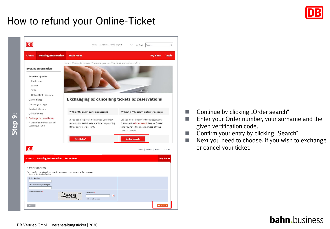### How to refund your Online-Ticket



- Continue by clicking "Order search"
- Enter your Order number, your surname and the given vertification code.
- Confirm your entry by clicking "Search"
- Next you need to choose, if you wish to exchange or cancel your ticket.